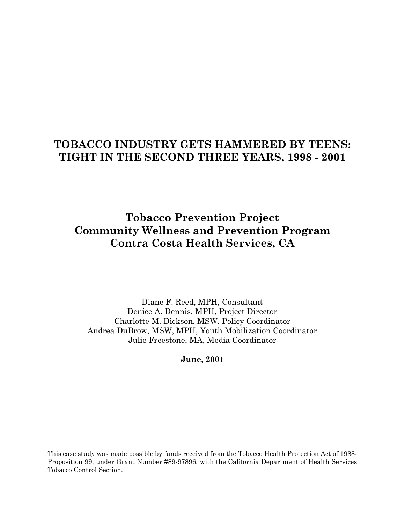# **TOBACCO INDUSTRY GETS HAMMERED BY TEENS: TIGHT IN THE SECOND THREE YEARS, 1998 - 2001**

**Tobacco Prevention Project Community Wellness and Prevention Program Contra Costa Health Services, CA** 

Diane F. Reed, MPH, Consultant Denice A. Dennis, MPH, Project Director Charlotte M. Dickson, MSW, Policy Coordinator Andrea DuBrow, MSW, MPH, Youth Mobilization Coordinator Julie Freestone, MA, Media Coordinator

**June, 2001** 

This case study was made possible by funds received from the Tobacco Health Protection Act of 1988- Proposition 99, under Grant Number #89-97896, with the California Department of Health Services Tobacco Control Section.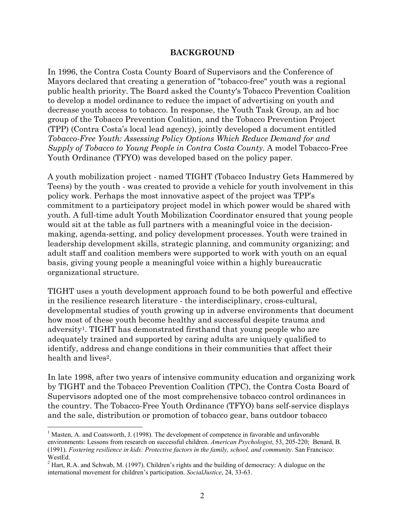#### **BACKGROUND**

In 1996, the Contra Costa County Board of Supervisors and the Conference of Mayors declared that creating a generation of "tobacco-free" youth was a regional public health priority. The Board asked the County's Tobacco Prevention Coalition to develop a model ordinance to reduce the impact of advertising on youth and decrease youth access to tobacco. In response, the Youth Task Group, an ad hoc group of the Tobacco Prevention Coalition, and the Tobacco Prevention Project (TPP) (Contra Costa's local lead agency), jointly developed a document entitled *Tobacco-Free Youth: Assessing Policy Options Which Reduce Demand for and Supply of Tobacco to Young People in Contra Costa County*. A model Tobacco-Free Youth Ordinance (TFYO) was developed based on the policy paper.

A youth mobilization project - named TIGHT (Tobacco Industry Gets Hammered by Teens) by the youth - was created to provide a vehicle for youth involvement in this policy work. Perhaps the most innovative aspect of the project was TPP's commitment to a participatory project model in which power would be shared with youth. A full-time adult Youth Mobilization Coordinator ensured that young people would sit at the table as full partners with a meaningful voice in the decisionmaking, agenda-setting, and policy development processes. Youth were trained in leadership development skills, strategic planning, and community organizing; and adult staff and coalition members were supported to work with youth on an equal basis, giving young people a meaningful voice within a highly bureaucratic organizational structure.

TIGHT uses a youth development approach found to be both powerful and effective in the resilience research literature - the interdisciplinary, cross-cultural, developmental studies of youth growing up in adverse environments that document how most of these youth become healthy and successful despite trauma and adversity1. TIGHT has demonstrated firsthand that young people who are adequately trained and supported by caring adults are uniquely qualified to identify, address and change conditions in their communities that affect their health and lives<sup>2</sup>.

In late 1998, after two years of intensive community education and organizing work by TIGHT and the Tobacco Prevention Coalition (TPC), the Contra Costa Board of Supervisors adopted one of the most comprehensive tobacco control ordinances in the country. The Tobacco-Free Youth Ordinance (TFYO) bans self-service displays and the sale, distribution or promotion of tobacco gear, bans outdoor tobacco

1

<sup>&</sup>lt;sup>1</sup> Masten, A. and Coatsworth, J. (1998). The development of competence in favorable and unfavorable environments: Lessons from research on successful children. *American Psychologist*, 53, 205-220; Benard, B. (1991). *Fostering resilience in kids: Protective factors in the family, school, and community*. San Francisco: WestEd.

 $2^2$  Hart, R.A. and Schwab, M. (1997). Children's rights and the building of democracy: A dialogue on the international movement for children's participation. *SocialJustice*, 24, 33-63.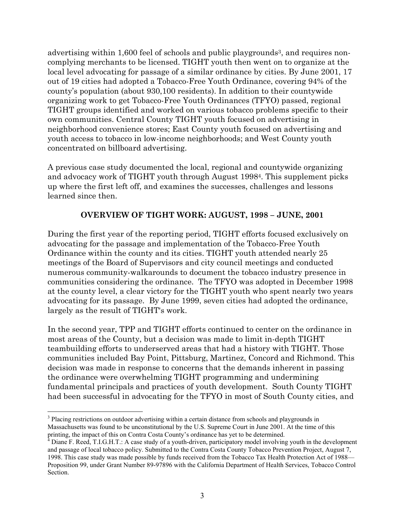advertising within 1,600 feel of schools and public playgrounds<sup>3</sup>, and requires noncomplying merchants to be licensed. TIGHT youth then went on to organize at the local level advocating for passage of a similar ordinance by cities. By June 2001, 17 out of 19 cities had adopted a Tobacco-Free Youth Ordinance, covering 94% of the county's population (about 930,100 residents). In addition to their countywide organizing work to get Tobacco-Free Youth Ordinances (TFYO) passed, regional TIGHT groups identified and worked on various tobacco problems specific to their own communities. Central County TIGHT youth focused on advertising in neighborhood convenience stores; East County youth focused on advertising and youth access to tobacco in low-income neighborhoods; and West County youth concentrated on billboard advertising.

A previous case study documented the local, regional and countywide organizing and advocacy work of TIGHT youth through August 19984. This supplement picks up where the first left off, and examines the successes, challenges and lessons learned since then.

## **OVERVIEW OF TIGHT WORK: AUGUST, 1998 – JUNE, 2001**

During the first year of the reporting period, TIGHT efforts focused exclusively on advocating for the passage and implementation of the Tobacco-Free Youth Ordinance within the county and its cities. TIGHT youth attended nearly 25 meetings of the Board of Supervisors and city council meetings and conducted numerous community-walkarounds to document the tobacco industry presence in communities considering the ordinance. The TFYO was adopted in December 1998 at the county level, a clear victory for the TIGHT youth who spent nearly two years advocating for its passage. By June 1999, seven cities had adopted the ordinance, largely as the result of TIGHT's work.

In the second year, TPP and TIGHT efforts continued to center on the ordinance in most areas of the County, but a decision was made to limit in-depth TIGHT teambuilding efforts to underserved areas that had a history with TIGHT. Those communities included Bay Point, Pittsburg, Martinez, Concord and Richmond. This decision was made in response to concerns that the demands inherent in passing the ordinance were overwhelming TIGHT programming and undermining fundamental principals and practices of youth development. South County TIGHT had been successful in advocating for the TFYO in most of South County cities, and

<sup>1</sup> <sup>3</sup> Placing restrictions on outdoor advertising within a certain distance from schools and playgrounds in Massachusetts was found to be unconstitutional by the U.S. Supreme Court in June 2001. At the time of this

printing, the impact of this on Contra Costa County's ordinance has yet to be determined.<br><sup>4</sup> Diane F. Reed, T.I.G.H.T.: A case study of a youth-driven, participatory model involving youth in the development and passage of local tobacco policy. Submitted to the Contra Costa County Tobacco Prevention Project, August 7, 1998. This case study was made possible by funds received from the Tobacco Tax Health Protection Act of 1988— Proposition 99, under Grant Number 89-97896 with the California Department of Health Services, Tobacco Control Section.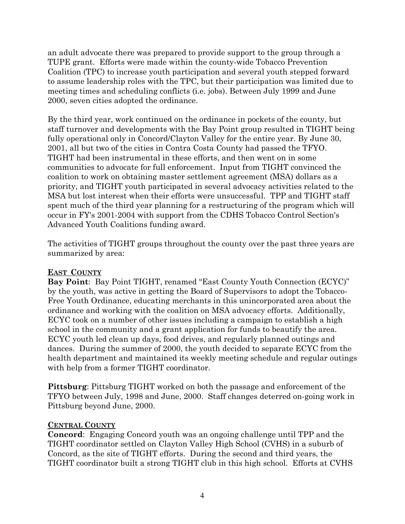an adult advocate there was prepared to provide support to the group through a TUPE grant. Efforts were made within the county-wide Tobacco Prevention Coalition (TPC) to increase youth participation and several youth stepped forward to assume leadership roles with the TPC, but their participation was limited due to meeting times and scheduling conflicts (i.e. jobs). Between July 1999 and June 2000, seven cities adopted the ordinance.

By the third year, work continued on the ordinance in pockets of the county, but staff turnover and developments with the Bay Point group resulted in TIGHT being fully operational only in Concord/Clayton Valley for the entire year. By June 30, 2001, all but two of the cities in Contra Costa County had passed the TFYO. TIGHT had been instrumental in these efforts, and then went on in some communities to advocate for full enforcement. Input from TIGHT convinced the coalition to work on obtaining master settlement agreement (MSA) dollars as a priority, and TIGHT youth participated in several advocacy activities related to the MSA but lost interest when their efforts were unsuccessful. TPP and TIGHT staff spent much of the third year planning for a restructuring of the program which will occur in FY's 2001-2004 with support from the CDHS Tobacco Control Section's Advanced Youth Coalitions funding award.

The activities of TIGHT groups throughout the county over the past three years are summarized by area:

# **EAST COUNTY**

**Bay Point**: Bay Point TIGHT, renamed "East County Youth Connection (ECYC)" by the youth, was active in getting the Board of Supervisors to adopt the Tobacco-Free Youth Ordinance, educating merchants in this unincorporated area about the ordinance and working with the coalition on MSA advocacy efforts. Additionally, ECYC took on a number of other issues including a campaign to establish a high school in the community and a grant application for funds to beautify the area. ECYC youth led clean up days, food drives, and regularly planned outings and dances. During the summer of 2000, the youth decided to separate ECYC from the health department and maintained its weekly meeting schedule and regular outings with help from a former TIGHT coordinator.

**Pittsburg**: Pittsburg TIGHT worked on both the passage and enforcement of the TFYO between July, 1998 and June, 2000. Staff changes deterred on-going work in Pittsburg beyond June, 2000.

# **CENTRAL COUNTY**

**Concord**: Engaging Concord youth was an ongoing challenge until TPP and the TIGHT coordinator settled on Clayton Valley High School (CVHS) in a suburb of Concord, as the site of TIGHT efforts. During the second and third years, the TIGHT coordinator built a strong TIGHT club in this high school. Efforts at CVHS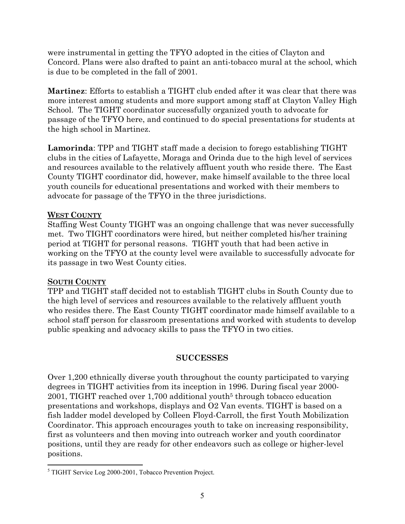were instrumental in getting the TFYO adopted in the cities of Clayton and Concord. Plans were also drafted to paint an anti-tobacco mural at the school, which is due to be completed in the fall of 2001.

**Martinez**: Efforts to establish a TIGHT club ended after it was clear that there was more interest among students and more support among staff at Clayton Valley High School. The TIGHT coordinator successfully organized youth to advocate for passage of the TFYO here, and continued to do special presentations for students at the high school in Martinez.

**Lamorinda**: TPP and TIGHT staff made a decision to forego establishing TIGHT clubs in the cities of Lafayette, Moraga and Orinda due to the high level of services and resources available to the relatively affluent youth who reside there. The East County TIGHT coordinator did, however, make himself available to the three local youth councils for educational presentations and worked with their members to advocate for passage of the TFYO in the three jurisdictions.

## **WEST COUNTY**

Staffing West County TIGHT was an ongoing challenge that was never successfully met. Two TIGHT coordinators were hired, but neither completed his/her training period at TIGHT for personal reasons. TIGHT youth that had been active in working on the TFYO at the county level were available to successfully advocate for its passage in two West County cities.

# **SOUTH COUNTY**

1

TPP and TIGHT staff decided not to establish TIGHT clubs in South County due to the high level of services and resources available to the relatively affluent youth who resides there. The East County TIGHT coordinator made himself available to a school staff person for classroom presentations and worked with students to develop public speaking and advocacy skills to pass the TFYO in two cities.

# **SUCCESSES**

Over 1,200 ethnically diverse youth throughout the county participated to varying degrees in TIGHT activities from its inception in 1996. During fiscal year 2000- 2001, TIGHT reached over 1,700 additional youth<sup>5</sup> through tobacco education presentations and workshops, displays and O2 Van events. TIGHT is based on a fish ladder model developed by Colleen Floyd-Carroll, the first Youth Mobilization Coordinator. This approach encourages youth to take on increasing responsibility, first as volunteers and then moving into outreach worker and youth coordinator positions, until they are ready for other endeavors such as college or higher-level positions.

<sup>&</sup>lt;sup>5</sup> TIGHT Service Log 2000-2001, Tobacco Prevention Project.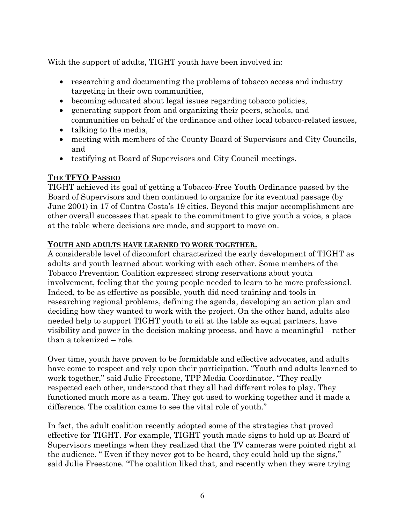With the support of adults, TIGHT youth have been involved in:

- researching and documenting the problems of tobacco access and industry targeting in their own communities,
- becoming educated about legal issues regarding tobacco policies,
- generating support from and organizing their peers, schools, and communities on behalf of the ordinance and other local tobacco-related issues,
- talking to the media,
- meeting with members of the County Board of Supervisors and City Councils, and
- testifying at Board of Supervisors and City Council meetings.

## **THE TFYO PASSED**

TIGHT achieved its goal of getting a Tobacco-Free Youth Ordinance passed by the Board of Supervisors and then continued to organize for its eventual passage (by June 2001) in 17 of Contra Costa's 19 cities. Beyond this major accomplishment are other overall successes that speak to the commitment to give youth a voice, a place at the table where decisions are made, and support to move on.

#### **YOUTH AND ADULTS HAVE LEARNED TO WORK TOGETHER.**

A considerable level of discomfort characterized the early development of TIGHT as adults and youth learned about working with each other. Some members of the Tobacco Prevention Coalition expressed strong reservations about youth involvement, feeling that the young people needed to learn to be more professional. Indeed, to be as effective as possible, youth did need training and tools in researching regional problems, defining the agenda, developing an action plan and deciding how they wanted to work with the project. On the other hand, adults also needed help to support TIGHT youth to sit at the table as equal partners, have visibility and power in the decision making process, and have a meaningful – rather than a tokenized – role.

Over time, youth have proven to be formidable and effective advocates, and adults have come to respect and rely upon their participation. "Youth and adults learned to work together," said Julie Freestone, TPP Media Coordinator. "They really respected each other, understood that they all had different roles to play. They functioned much more as a team. They got used to working together and it made a difference. The coalition came to see the vital role of youth."

In fact, the adult coalition recently adopted some of the strategies that proved effective for TIGHT. For example, TIGHT youth made signs to hold up at Board of Supervisors meetings when they realized that the TV cameras were pointed right at the audience. " Even if they never got to be heard, they could hold up the signs," said Julie Freestone. "The coalition liked that, and recently when they were trying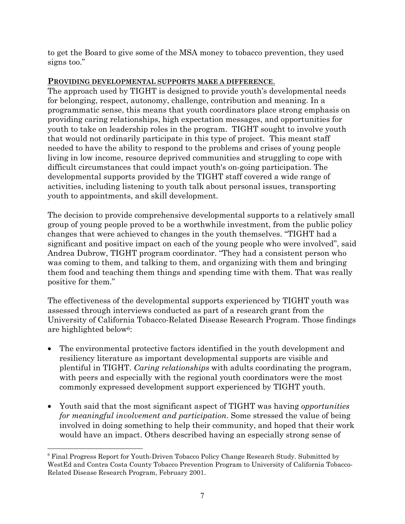to get the Board to give some of the MSA money to tobacco prevention, they used signs too."

# **PROVIDING DEVELOPMENTAL SUPPORTS MAKE A DIFFERENCE**.

The approach used by TIGHT is designed to provide youth's developmental needs for belonging, respect, autonomy, challenge, contribution and meaning. In a programmatic sense, this means that youth coordinators place strong emphasis on providing caring relationships, high expectation messages, and opportunities for youth to take on leadership roles in the program. TIGHT sought to involve youth that would not ordinarily participate in this type of project. This meant staff needed to have the ability to respond to the problems and crises of young people living in low income, resource deprived communities and struggling to cope with difficult circumstances that could impact youth's on-going participation. The developmental supports provided by the TIGHT staff covered a wide range of activities, including listening to youth talk about personal issues, transporting youth to appointments, and skill development.

The decision to provide comprehensive developmental supports to a relatively small group of young people proved to be a worthwhile investment, from the public policy changes that were achieved to changes in the youth themselves. "TIGHT had a significant and positive impact on each of the young people who were involved", said Andrea Dubrow, TIGHT program coordinator. "They had a consistent person who was coming to them, and talking to them, and organizing with them and bringing them food and teaching them things and spending time with them. That was really positive for them."

The effectiveness of the developmental supports experienced by TIGHT youth was assessed through interviews conducted as part of a research grant from the University of California Tobacco-Related Disease Research Program. Those findings are highlighted below6:

- The environmental protective factors identified in the youth development and resiliency literature as important developmental supports are visible and plentiful in TIGHT. *Caring relationships* with adults coordinating the program, with peers and especially with the regional youth coordinators were the most commonly expressed development support experienced by TIGHT youth.
- Youth said that the most significant aspect of TIGHT was having *opportunities for meaningful involvement and participation*. Some stressed the value of being involved in doing something to help their community, and hoped that their work would have an impact. Others described having an especially strong sense of

<sup>1</sup> <sup>6</sup> Final Progress Report for Youth-Driven Tobacco Policy Change Research Study. Submitted by WestEd and Contra Costa County Tobacco Prevention Program to University of California Tobacco-Related Disease Research Program, February 2001.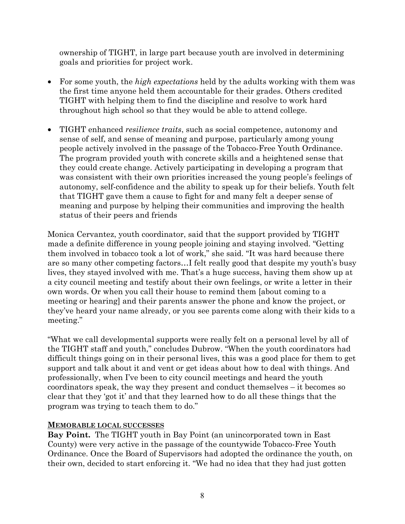ownership of TIGHT, in large part because youth are involved in determining goals and priorities for project work.

- For some youth, the *high expectations* held by the adults working with them was the first time anyone held them accountable for their grades. Others credited TIGHT with helping them to find the discipline and resolve to work hard throughout high school so that they would be able to attend college.
- TIGHT enhanced *resilience traits*, such as social competence, autonomy and sense of self, and sense of meaning and purpose, particularly among young people actively involved in the passage of the Tobacco-Free Youth Ordinance. The program provided youth with concrete skills and a heightened sense that they could create change. Actively participating in developing a program that was consistent with their own priorities increased the young people's feelings of autonomy, self-confidence and the ability to speak up for their beliefs. Youth felt that TIGHT gave them a cause to fight for and many felt a deeper sense of meaning and purpose by helping their communities and improving the health status of their peers and friends

Monica Cervantez, youth coordinator, said that the support provided by TIGHT made a definite difference in young people joining and staying involved. "Getting them involved in tobacco took a lot of work," she said. "It was hard because there are so many other competing factors…I felt really good that despite my youth's busy lives, they stayed involved with me. That's a huge success, having them show up at a city council meeting and testify about their own feelings, or write a letter in their own words. Or when you call their house to remind them [about coming to a meeting or hearing] and their parents answer the phone and know the project, or they've heard your name already, or you see parents come along with their kids to a meeting."

"What we call developmental supports were really felt on a personal level by all of the TIGHT staff and youth," concludes Dubrow. "When the youth coordinators had difficult things going on in their personal lives, this was a good place for them to get support and talk about it and vent or get ideas about how to deal with things. And professionally, when I've been to city council meetings and heard the youth coordinators speak, the way they present and conduct themselves – it becomes so clear that they 'got it' and that they learned how to do all these things that the program was trying to teach them to do."

#### **MEMORABLE LOCAL SUCCESSES**

**Bay Point.** The TIGHT youth in Bay Point (an unincorporated town in East County) were very active in the passage of the countywide Tobacco-Free Youth Ordinance. Once the Board of Supervisors had adopted the ordinance the youth, on their own, decided to start enforcing it. "We had no idea that they had just gotten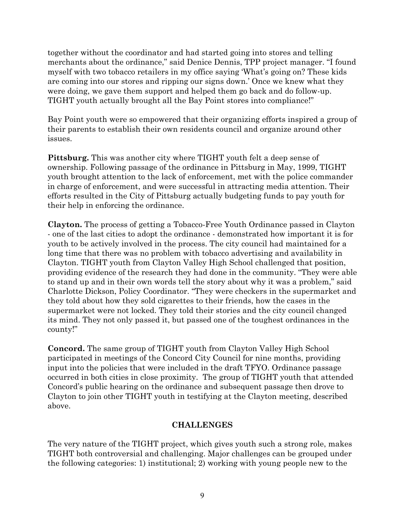together without the coordinator and had started going into stores and telling merchants about the ordinance," said Denice Dennis, TPP project manager. "I found myself with two tobacco retailers in my office saying 'What's going on? These kids are coming into our stores and ripping our signs down.' Once we knew what they were doing, we gave them support and helped them go back and do follow-up. TIGHT youth actually brought all the Bay Point stores into compliance!"

Bay Point youth were so empowered that their organizing efforts inspired a group of their parents to establish their own residents council and organize around other issues.

**Pittsburg.** This was another city where TIGHT youth felt a deep sense of ownership. Following passage of the ordinance in Pittsburg in May, 1999, TIGHT youth brought attention to the lack of enforcement, met with the police commander in charge of enforcement, and were successful in attracting media attention. Their efforts resulted in the City of Pittsburg actually budgeting funds to pay youth for their help in enforcing the ordinance.

**Clayton.** The process of getting a Tobacco-Free Youth Ordinance passed in Clayton - one of the last cities to adopt the ordinance - demonstrated how important it is for youth to be actively involved in the process. The city council had maintained for a long time that there was no problem with tobacco advertising and availability in Clayton. TIGHT youth from Clayton Valley High School challenged that position, providing evidence of the research they had done in the community. "They were able to stand up and in their own words tell the story about why it was a problem," said Charlotte Dickson, Policy Coordinator. "They were checkers in the supermarket and they told about how they sold cigarettes to their friends, how the cases in the supermarket were not locked. They told their stories and the city council changed its mind. They not only passed it, but passed one of the toughest ordinances in the county!"

**Concord.** The same group of TIGHT youth from Clayton Valley High School participated in meetings of the Concord City Council for nine months, providing input into the policies that were included in the draft TFYO. Ordinance passage occurred in both cities in close proximity. The group of TIGHT youth that attended Concord's public hearing on the ordinance and subsequent passage then drove to Clayton to join other TIGHT youth in testifying at the Clayton meeting, described above.

# **CHALLENGES**

The very nature of the TIGHT project, which gives youth such a strong role, makes TIGHT both controversial and challenging. Major challenges can be grouped under the following categories: 1) institutional; 2) working with young people new to the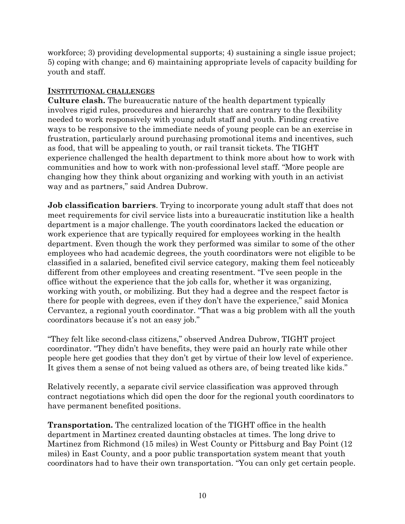workforce; 3) providing developmental supports; 4) sustaining a single issue project; 5) coping with change; and 6) maintaining appropriate levels of capacity building for youth and staff.

#### **INSTITUTIONAL CHALLENGES**

**Culture clash.** The bureaucratic nature of the health department typically involves rigid rules, procedures and hierarchy that are contrary to the flexibility needed to work responsively with young adult staff and youth. Finding creative ways to be responsive to the immediate needs of young people can be an exercise in frustration, particularly around purchasing promotional items and incentives, such as food, that will be appealing to youth, or rail transit tickets. The TIGHT experience challenged the health department to think more about how to work with communities and how to work with non-professional level staff. "More people are changing how they think about organizing and working with youth in an activist way and as partners," said Andrea Dubrow.

**Job classification barriers**. Trying to incorporate young adult staff that does not meet requirements for civil service lists into a bureaucratic institution like a health department is a major challenge. The youth coordinators lacked the education or work experience that are typically required for employees working in the health department. Even though the work they performed was similar to some of the other employees who had academic degrees, the youth coordinators were not eligible to be classified in a salaried, benefited civil service category, making them feel noticeably different from other employees and creating resentment. "I've seen people in the office without the experience that the job calls for, whether it was organizing, working with youth, or mobilizing. But they had a degree and the respect factor is there for people with degrees, even if they don't have the experience," said Monica Cervantez, a regional youth coordinator. "That was a big problem with all the youth coordinators because it's not an easy job."

"They felt like second-class citizens," observed Andrea Dubrow, TIGHT project coordinator. "They didn't have benefits, they were paid an hourly rate while other people here get goodies that they don't get by virtue of their low level of experience. It gives them a sense of not being valued as others are, of being treated like kids."

Relatively recently, a separate civil service classification was approved through contract negotiations which did open the door for the regional youth coordinators to have permanent benefited positions.

**Transportation.** The centralized location of the TIGHT office in the health department in Martinez created daunting obstacles at times. The long drive to Martinez from Richmond (15 miles) in West County or Pittsburg and Bay Point (12 miles) in East County, and a poor public transportation system meant that youth coordinators had to have their own transportation. "You can only get certain people.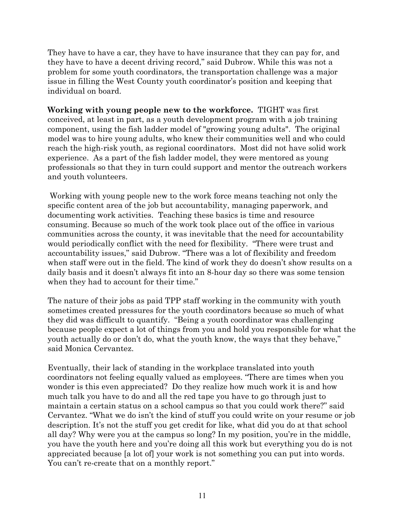They have to have a car, they have to have insurance that they can pay for, and they have to have a decent driving record," said Dubrow. While this was not a problem for some youth coordinators, the transportation challenge was a major issue in filling the West County youth coordinator's position and keeping that individual on board.

**Working with young people new to the workforce.** TIGHT was first conceived, at least in part, as a youth development program with a job training component, using the fish ladder model of "growing young adults". The original model was to hire young adults, who knew their communities well and who could reach the high-risk youth, as regional coordinators. Most did not have solid work experience. As a part of the fish ladder model, they were mentored as young professionals so that they in turn could support and mentor the outreach workers and youth volunteers.

 Working with young people new to the work force means teaching not only the specific content area of the job but accountability, managing paperwork, and documenting work activities. Teaching these basics is time and resource consuming. Because so much of the work took place out of the office in various communities across the county, it was inevitable that the need for accountability would periodically conflict with the need for flexibility. "There were trust and accountability issues," said Dubrow. "There was a lot of flexibility and freedom when staff were out in the field. The kind of work they do doesn't show results on a daily basis and it doesn't always fit into an 8-hour day so there was some tension when they had to account for their time."

The nature of their jobs as paid TPP staff working in the community with youth sometimes created pressures for the youth coordinators because so much of what they did was difficult to quantify. "Being a youth coordinator was challenging because people expect a lot of things from you and hold you responsible for what the youth actually do or don't do, what the youth know, the ways that they behave," said Monica Cervantez.

Eventually, their lack of standing in the workplace translated into youth coordinators not feeling equally valued as employees. "There are times when you wonder is this even appreciated? Do they realize how much work it is and how much talk you have to do and all the red tape you have to go through just to maintain a certain status on a school campus so that you could work there?" said Cervantez. "What we do isn't the kind of stuff you could write on your resume or job description. It's not the stuff you get credit for like, what did you do at that school all day? Why were you at the campus so long? In my position, you're in the middle, you have the youth here and you're doing all this work but everything you do is not appreciated because [a lot of] your work is not something you can put into words. You can't re-create that on a monthly report."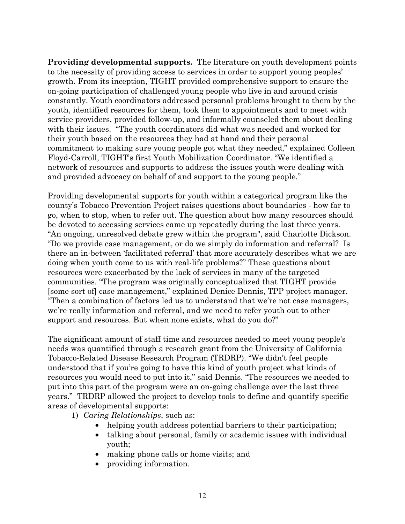**Providing developmental supports.** The literature on youth development points to the necessity of providing access to services in order to support young peoples' growth. From its inception, TIGHT provided comprehensive support to ensure the on-going participation of challenged young people who live in and around crisis constantly. Youth coordinators addressed personal problems brought to them by the youth, identified resources for them, took them to appointments and to meet with service providers, provided follow-up, and informally counseled them about dealing with their issues. "The youth coordinators did what was needed and worked for their youth based on the resources they had at hand and their personal commitment to making sure young people got what they needed," explained Colleen Floyd-Carroll, TIGHT's first Youth Mobilization Coordinator. "We identified a network of resources and supports to address the issues youth were dealing with and provided advocacy on behalf of and support to the young people."

Providing developmental supports for youth within a categorical program like the county's Tobacco Prevention Project raises questions about boundaries - how far to go, when to stop, when to refer out. The question about how many resources should be devoted to accessing services came up repeatedly during the last three years. "An ongoing, unresolved debate grew within the program", said Charlotte Dickson. "Do we provide case management, or do we simply do information and referral? Is there an in-between 'facilitated referral' that more accurately describes what we are doing when youth come to us with real-life problems?" These questions about resources were exacerbated by the lack of services in many of the targeted communities. "The program was originally conceptualized that TIGHT provide [some sort of] case management," explained Denice Dennis, TPP project manager. "Then a combination of factors led us to understand that we're not case managers, we're really information and referral, and we need to refer youth out to other support and resources. But when none exists, what do you do?"

The significant amount of staff time and resources needed to meet young people's needs was quantified through a research grant from the University of California Tobacco-Related Disease Research Program (TRDRP). "We didn't feel people understood that if you're going to have this kind of youth project what kinds of resources you would need to put into it," said Dennis. "The resources we needed to put into this part of the program were an on-going challenge over the last three years." TRDRP allowed the project to develop tools to define and quantify specific areas of developmental supports:

1) *Caring Relationships*, such as:

- helping youth address potential barriers to their participation;
- talking about personal, family or academic issues with individual youth;
- making phone calls or home visits; and
- providing information.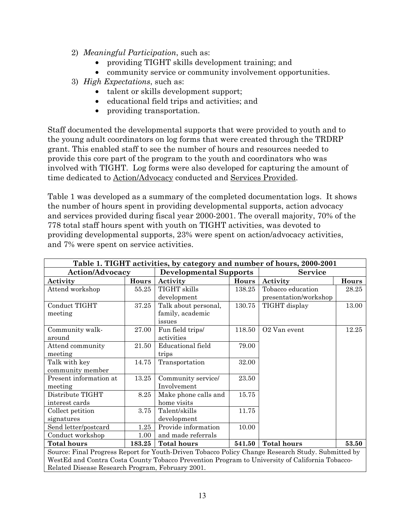- 2) *Meaningful Participation*, such as:
	- providing TIGHT skills development training; and
	- community service or community involvement opportunities.
- 3) *High Expectations*, such as:
	- talent or skills development support;
	- educational field trips and activities; and
	- providing transportation.

Staff documented the developmental supports that were provided to youth and to the young adult coordinators on log forms that were created through the TRDRP grant. This enabled staff to see the number of hours and resources needed to provide this core part of the program to the youth and coordinators who was involved with TIGHT. Log forms were also developed for capturing the amount of time dedicated to Action/Advocacy conducted and Services Provided.

Table 1 was developed as a summary of the completed documentation logs. It shows the number of hours spent in providing developmental supports, action advocacy and services provided during fiscal year 2000-2001. The overall majority, 70% of the 778 total staff hours spent with youth on TIGHT activities, was devoted to providing developmental supports, 23% were spent on action/advocacy activities, and 7% were spent on service activities.

| Table 1. TIGHT activities, by category and number of hours, 2000-2001                             |        |                               |              |                       |       |
|---------------------------------------------------------------------------------------------------|--------|-------------------------------|--------------|-----------------------|-------|
| <b>Action/Advocacy</b>                                                                            |        | <b>Developmental Supports</b> |              | <b>Service</b>        |       |
| Activity                                                                                          | Hours  | Activity                      | <b>Hours</b> | Activity              | Hours |
| Attend workshop                                                                                   | 55.25  | TIGHT skills                  | 138.25       | Tobacco education     | 28.25 |
|                                                                                                   |        | development                   |              | presentation/workshop |       |
| Conduct TIGHT                                                                                     | 37.25  | Talk about personal,          | 130.75       | TIGHT display         | 13.00 |
| meeting                                                                                           |        | family, academic              |              |                       |       |
|                                                                                                   |        | issues                        |              |                       |       |
| Community walk-                                                                                   | 27.00  | Fun field trips/              | 118.50       | O2 Van event          | 12.25 |
| around                                                                                            |        | activities                    |              |                       |       |
| Attend community                                                                                  | 21.50  | <b>Educational</b> field      | 79.00        |                       |       |
| meeting                                                                                           |        | trips                         |              |                       |       |
| Talk with key                                                                                     | 14.75  | Transportation                | 32.00        |                       |       |
| community member                                                                                  |        |                               |              |                       |       |
| Present information at                                                                            | 13.25  | Community service/            | 23.50        |                       |       |
| meeting                                                                                           |        | Involvement                   |              |                       |       |
| Distribute TIGHT                                                                                  | 8.25   | Make phone calls and          | 15.75        |                       |       |
| interest cards                                                                                    |        | home visits                   |              |                       |       |
| Collect petition                                                                                  | 3.75   | Talent/skills                 | 11.75        |                       |       |
| signatures                                                                                        |        | development                   |              |                       |       |
| Send letter/postcard                                                                              | 1.25   | Provide information           | 10.00        |                       |       |
| Conduct workshop                                                                                  | 1.00   | and made referrals            |              |                       |       |
| <b>Total hours</b>                                                                                | 183.25 | <b>Total hours</b>            | 541.50       | <b>Total hours</b>    | 53.50 |
| Source: Final Progress Report for Youth-Driven Tobacco Policy Change Research Study. Submitted by |        |                               |              |                       |       |
| WestEd and Contra Costa County Tobacco Prevention Program to University of California Tobacco-    |        |                               |              |                       |       |
| Related Disease Research Program, February 2001.                                                  |        |                               |              |                       |       |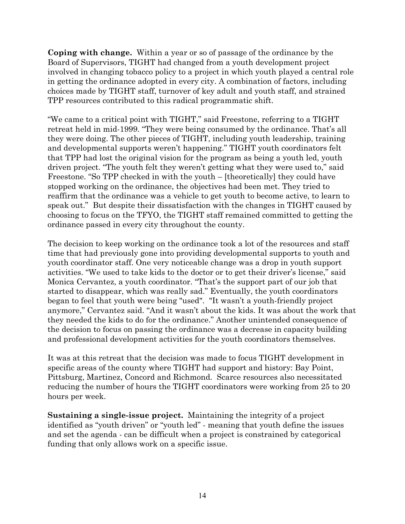**Coping with change.** Within a year or so of passage of the ordinance by the Board of Supervisors, TIGHT had changed from a youth development project involved in changing tobacco policy to a project in which youth played a central role in getting the ordinance adopted in every city. A combination of factors, including choices made by TIGHT staff, turnover of key adult and youth staff, and strained TPP resources contributed to this radical programmatic shift.

"We came to a critical point with TIGHT," said Freestone, referring to a TIGHT retreat held in mid-1999. "They were being consumed by the ordinance. That's all they were doing. The other pieces of TIGHT, including youth leadership, training and developmental supports weren't happening." TIGHT youth coordinators felt that TPP had lost the original vision for the program as being a youth led, youth driven project. "The youth felt they weren't getting what they were used to," said Freestone. "So TPP checked in with the youth – [theoretically] they could have stopped working on the ordinance, the objectives had been met. They tried to reaffirm that the ordinance was a vehicle to get youth to become active, to learn to speak out." But despite their dissatisfaction with the changes in TIGHT caused by choosing to focus on the TFYO, the TIGHT staff remained committed to getting the ordinance passed in every city throughout the county.

The decision to keep working on the ordinance took a lot of the resources and staff time that had previously gone into providing developmental supports to youth and youth coordinator staff. One very noticeable change was a drop in youth support activities. "We used to take kids to the doctor or to get their driver's license," said Monica Cervantez, a youth coordinator. "That's the support part of our job that started to disappear, which was really sad." Eventually, the youth coordinators began to feel that youth were being "used". "It wasn't a youth-friendly project anymore," Cervantez said. "And it wasn't about the kids. It was about the work that they needed the kids to do for the ordinance." Another unintended consequence of the decision to focus on passing the ordinance was a decrease in capacity building and professional development activities for the youth coordinators themselves.

It was at this retreat that the decision was made to focus TIGHT development in specific areas of the county where TIGHT had support and history: Bay Point, Pittsburg, Martinez, Concord and Richmond. Scarce resources also necessitated reducing the number of hours the TIGHT coordinators were working from 25 to 20 hours per week.

**Sustaining a single-issue project.** Maintaining the integrity of a project identified as "youth driven" or "youth led" - meaning that youth define the issues and set the agenda - can be difficult when a project is constrained by categorical funding that only allows work on a specific issue.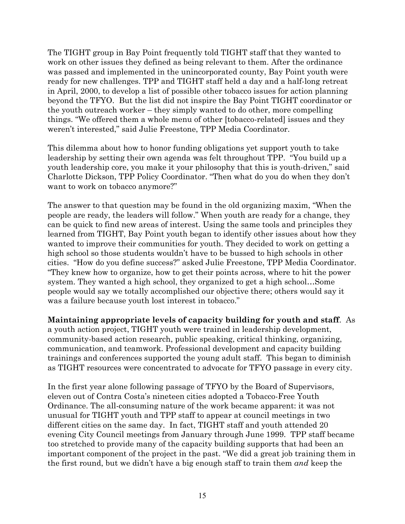The TIGHT group in Bay Point frequently told TIGHT staff that they wanted to work on other issues they defined as being relevant to them. After the ordinance was passed and implemented in the unincorporated county, Bay Point youth were ready for new challenges. TPP and TIGHT staff held a day and a half-long retreat in April, 2000, to develop a list of possible other tobacco issues for action planning beyond the TFYO. But the list did not inspire the Bay Point TIGHT coordinator or the youth outreach worker – they simply wanted to do other, more compelling things. "We offered them a whole menu of other [tobacco-related] issues and they weren't interested," said Julie Freestone, TPP Media Coordinator.

This dilemma about how to honor funding obligations yet support youth to take leadership by setting their own agenda was felt throughout TPP. "You build up a youth leadership core, you make it your philosophy that this is youth-driven," said Charlotte Dickson, TPP Policy Coordinator. "Then what do you do when they don't want to work on tobacco anymore?"

The answer to that question may be found in the old organizing maxim, "When the people are ready, the leaders will follow." When youth are ready for a change, they can be quick to find new areas of interest. Using the same tools and principles they learned from TIGHT, Bay Point youth began to identify other issues about how they wanted to improve their communities for youth. They decided to work on getting a high school so those students wouldn't have to be bussed to high schools in other cities. "How do you define success?" asked Julie Freestone, TPP Media Coordinator. "They knew how to organize, how to get their points across, where to hit the power system. They wanted a high school, they organized to get a high school…Some people would say we totally accomplished our objective there; others would say it was a failure because youth lost interest in tobacco."

**Maintaining appropriate levels of capacity building for youth and staff**. As a youth action project, TIGHT youth were trained in leadership development, community-based action research, public speaking, critical thinking, organizing, communication, and teamwork. Professional development and capacity building trainings and conferences supported the young adult staff. This began to diminish as TIGHT resources were concentrated to advocate for TFYO passage in every city.

In the first year alone following passage of TFYO by the Board of Supervisors, eleven out of Contra Costa's nineteen cities adopted a Tobacco-Free Youth Ordinance. The all-consuming nature of the work became apparent: it was not unusual for TIGHT youth and TPP staff to appear at council meetings in two different cities on the same day. In fact, TIGHT staff and youth attended 20 evening City Council meetings from January through June 1999. TPP staff became too stretched to provide many of the capacity building supports that had been an important component of the project in the past. "We did a great job training them in the first round, but we didn't have a big enough staff to train them *and* keep the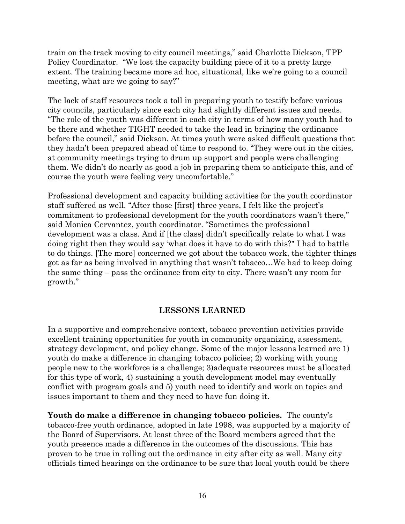train on the track moving to city council meetings," said Charlotte Dickson, TPP Policy Coordinator. "We lost the capacity building piece of it to a pretty large extent. The training became more ad hoc, situational, like we're going to a council meeting, what are we going to say?"

The lack of staff resources took a toll in preparing youth to testify before various city councils, particularly since each city had slightly different issues and needs. "The role of the youth was different in each city in terms of how many youth had to be there and whether TIGHT needed to take the lead in bringing the ordinance before the council," said Dickson. At times youth were asked difficult questions that they hadn't been prepared ahead of time to respond to. "They were out in the cities, at community meetings trying to drum up support and people were challenging them. We didn't do nearly as good a job in preparing them to anticipate this, and of course the youth were feeling very uncomfortable."

Professional development and capacity building activities for the youth coordinator staff suffered as well. "After those [first] three years, I felt like the project's commitment to professional development for the youth coordinators wasn't there," said Monica Cervantez, youth coordinator. "Sometimes the professional development was a class. And if [the class] didn't specifically relate to what I was doing right then they would say 'what does it have to do with this?" I had to battle to do things. [The more] concerned we got about the tobacco work, the tighter things got as far as being involved in anything that wasn't tobacco…We had to keep doing the same thing – pass the ordinance from city to city. There wasn't any room for growth."

#### **LESSONS LEARNED**

In a supportive and comprehensive context, tobacco prevention activities provide excellent training opportunities for youth in community organizing, assessment, strategy development, and policy change. Some of the major lessons learned are 1) youth do make a difference in changing tobacco policies; 2) working with young people new to the workforce is a challenge; 3)adequate resources must be allocated for this type of work, 4) sustaining a youth development model may eventually conflict with program goals and 5) youth need to identify and work on topics and issues important to them and they need to have fun doing it.

**Youth do make a difference in changing tobacco policies.** The county's tobacco-free youth ordinance, adopted in late 1998, was supported by a majority of the Board of Supervisors. At least three of the Board members agreed that the youth presence made a difference in the outcomes of the discussions. This has proven to be true in rolling out the ordinance in city after city as well. Many city officials timed hearings on the ordinance to be sure that local youth could be there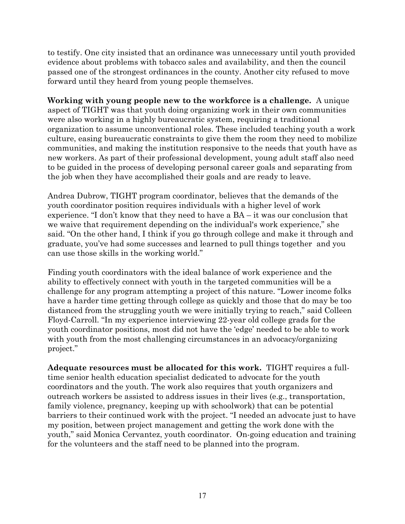to testify. One city insisted that an ordinance was unnecessary until youth provided evidence about problems with tobacco sales and availability, and then the council passed one of the strongest ordinances in the county. Another city refused to move forward until they heard from young people themselves.

**Working with young people new to the workforce is a challenge.** A unique aspect of TIGHT was that youth doing organizing work in their own communities were also working in a highly bureaucratic system, requiring a traditional organization to assume unconventional roles. These included teaching youth a work culture, easing bureaucratic constraints to give them the room they need to mobilize communities, and making the institution responsive to the needs that youth have as new workers. As part of their professional development, young adult staff also need to be guided in the process of developing personal career goals and separating from the job when they have accomplished their goals and are ready to leave.

Andrea Dubrow, TIGHT program coordinator, believes that the demands of the youth coordinator position requires individuals with a higher level of work experience. "I don't know that they need to have a BA – it was our conclusion that we waive that requirement depending on the individual's work experience," she said. "On the other hand, I think if you go through college and make it through and graduate, you've had some successes and learned to pull things together and you can use those skills in the working world."

Finding youth coordinators with the ideal balance of work experience and the ability to effectively connect with youth in the targeted communities will be a challenge for any program attempting a project of this nature. "Lower income folks have a harder time getting through college as quickly and those that do may be too distanced from the struggling youth we were initially trying to reach," said Colleen Floyd-Carroll. "In my experience interviewing 22-year old college grads for the youth coordinator positions, most did not have the 'edge' needed to be able to work with youth from the most challenging circumstances in an advocacy/organizing project."

**Adequate resources must be allocated for this work.** TIGHT requires a fulltime senior health education specialist dedicated to advocate for the youth coordinators and the youth. The work also requires that youth organizers and outreach workers be assisted to address issues in their lives (e.g., transportation, family violence, pregnancy, keeping up with schoolwork) that can be potential barriers to their continued work with the project. "I needed an advocate just to have my position, between project management and getting the work done with the youth," said Monica Cervantez, youth coordinator. On-going education and training for the volunteers and the staff need to be planned into the program.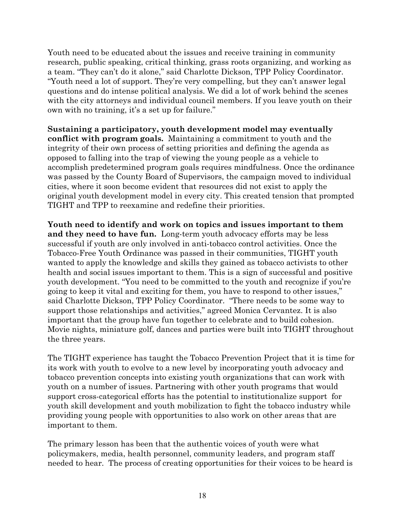Youth need to be educated about the issues and receive training in community research, public speaking, critical thinking, grass roots organizing, and working as a team. "They can't do it alone," said Charlotte Dickson, TPP Policy Coordinator. "Youth need a lot of support. They're very compelling, but they can't answer legal questions and do intense political analysis. We did a lot of work behind the scenes with the city attorneys and individual council members. If you leave youth on their own with no training, it's a set up for failure."

**Sustaining a participatory, youth development model may eventually conflict with program goals.** Maintaining a commitment to youth and the integrity of their own process of setting priorities and defining the agenda as opposed to falling into the trap of viewing the young people as a vehicle to accomplish predetermined program goals requires mindfulness. Once the ordinance was passed by the County Board of Supervisors, the campaign moved to individual cities, where it soon become evident that resources did not exist to apply the original youth development model in every city. This created tension that prompted TIGHT and TPP to reexamine and redefine their priorities.

**Youth need to identify and work on topics and issues important to them and they need to have fun.** Long-term youth advocacy efforts may be less successful if youth are only involved in anti-tobacco control activities. Once the Tobacco-Free Youth Ordinance was passed in their communities, TIGHT youth wanted to apply the knowledge and skills they gained as tobacco activists to other health and social issues important to them. This is a sign of successful and positive youth development. "You need to be committed to the youth and recognize if you're going to keep it vital and exciting for them, you have to respond to other issues," said Charlotte Dickson, TPP Policy Coordinator. "There needs to be some way to support those relationships and activities," agreed Monica Cervantez. It is also important that the group have fun together to celebrate and to build cohesion. Movie nights, miniature golf, dances and parties were built into TIGHT throughout the three years.

The TIGHT experience has taught the Tobacco Prevention Project that it is time for its work with youth to evolve to a new level by incorporating youth advocacy and tobacco prevention concepts into existing youth organizations that can work with youth on a number of issues. Partnering with other youth programs that would support cross-categorical efforts has the potential to institutionalize support for youth skill development and youth mobilization to fight the tobacco industry while providing young people with opportunities to also work on other areas that are important to them.

The primary lesson has been that the authentic voices of youth were what policymakers, media, health personnel, community leaders, and program staff needed to hear. The process of creating opportunities for their voices to be heard is